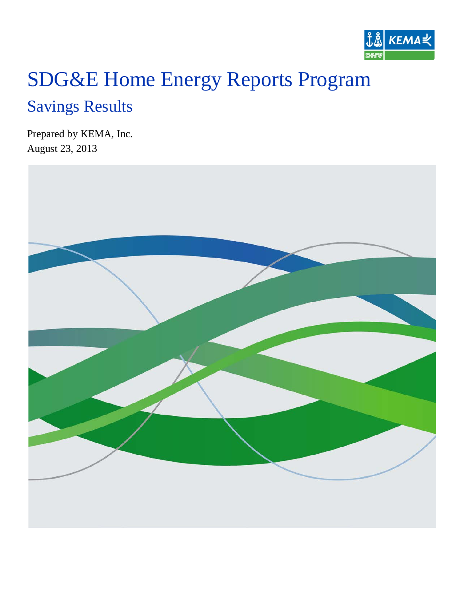

# SDG&E Home Energy Reports Program

## Savings Results

Prepared by KEMA, Inc. August 23, 2013

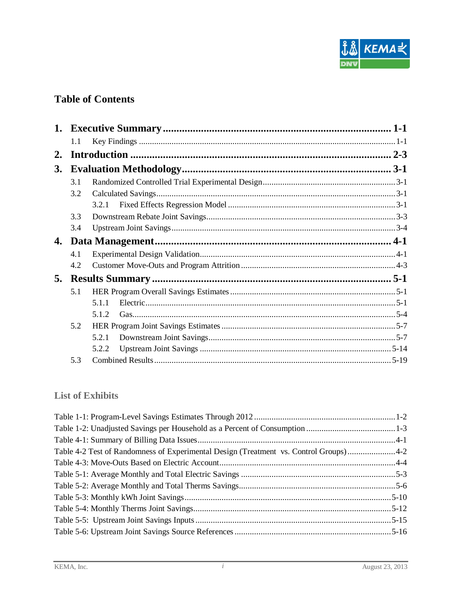

## **Table of Contents**

|           | 1.1 |       |  |
|-----------|-----|-------|--|
| 2.        |     |       |  |
| <b>3.</b> |     |       |  |
|           | 3.1 |       |  |
|           | 3.2 |       |  |
|           |     | 3.2.1 |  |
|           | 3.3 |       |  |
|           | 3.4 |       |  |
| 4.        |     |       |  |
|           | 4.1 |       |  |
|           | 4.2 |       |  |
| 5.        |     |       |  |
|           | 5.1 |       |  |
|           |     | 5.1.1 |  |
|           |     | 5.1.2 |  |
|           | 5.2 |       |  |
|           |     | 5.2.1 |  |
|           |     | 5.2.2 |  |
|           | 5.3 |       |  |

#### **List of Exhibits**

| Table 4-2 Test of Randomness of Experimental Design (Treatment vs. Control Groups)4-2 |  |
|---------------------------------------------------------------------------------------|--|
|                                                                                       |  |
|                                                                                       |  |
|                                                                                       |  |
|                                                                                       |  |
|                                                                                       |  |
|                                                                                       |  |
|                                                                                       |  |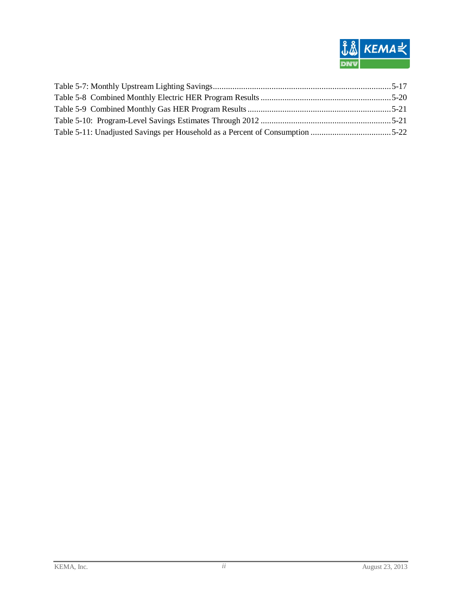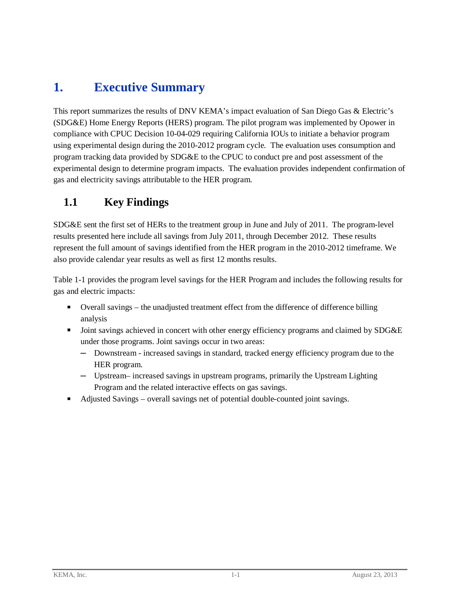## <span id="page-3-0"></span>**1. Executive Summary**

This report summarizes the results of DNV KEMA's impact evaluation of San Diego Gas & Electric's (SDG&E) Home Energy Reports (HERS) program. The pilot program was implemented by Opower in compliance with CPUC Decision 10-04-029 requiring California IOUs to initiate a behavior program using experimental design during the 2010-2012 program cycle. The evaluation uses consumption and program tracking data provided by SDG&E to the CPUC to conduct pre and post assessment of the experimental design to determine program impacts. The evaluation provides independent confirmation of gas and electricity savings attributable to the HER program.

## <span id="page-3-1"></span>**1.1 Key Findings**

SDG&E sent the first set of HERs to the treatment group in June and July of 2011. The program-level results presented here include all savings from July 2011, through December 2012. These results represent the full amount of savings identified from the HER program in the 2010-2012 timeframe. We also provide calendar year results as well as first 12 months results.

[Table 1-1](#page-4-0) provides the program level savings for the HER Program and includes the following results for gas and electric impacts:

- Overall savings the unadjusted treatment effect from the difference of difference billing analysis
- Joint savings achieved in concert with other energy efficiency programs and claimed by SDG&E under those programs. Joint savings occur in two areas:
	- **─** Downstream increased savings in standard, tracked energy efficiency program due to the HER program.
	- **─** Upstream– increased savings in upstream programs, primarily the Upstream Lighting Program and the related interactive effects on gas savings.
- Adjusted Savings overall savings net of potential double-counted joint savings.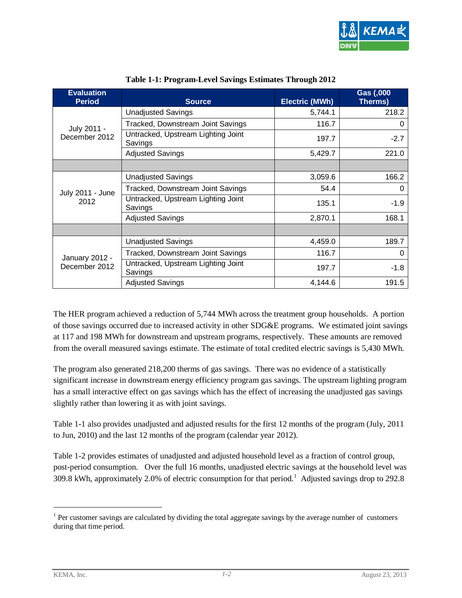

<span id="page-4-0"></span>

| <b>Evaluation</b><br><b>Period</b> | <b>Source</b>                                 | <b>Electric (MWh)</b> | Gas (,000<br>Therms) |
|------------------------------------|-----------------------------------------------|-----------------------|----------------------|
|                                    | <b>Unadjusted Savings</b>                     | 5,744.1               | 218.2                |
| July 2011 -                        | Tracked, Downstream Joint Savings             | 116.7                 | 0                    |
| December 2012                      | Untracked, Upstream Lighting Joint<br>Savings | 197.7                 | $-2.7$               |
|                                    | <b>Adjusted Savings</b>                       | 5,429.7               | 221.0                |
|                                    |                                               |                       |                      |
|                                    | <b>Unadjusted Savings</b>                     | 3,059.6               | 166.2                |
| July 2011 - June                   | Tracked, Downstream Joint Savings             | 54.4                  | 0                    |
| 2012                               | Untracked, Upstream Lighting Joint<br>Savings | 135.1                 | $-1.9$               |
|                                    | <b>Adjusted Savings</b>                       | 2,870.1               | 168.1                |
|                                    |                                               |                       |                      |
|                                    | <b>Unadjusted Savings</b>                     | 4,459.0               | 189.7                |
| January 2012 -                     | Tracked, Downstream Joint Savings             | 116.7                 | 0                    |
| December 2012                      | Untracked, Upstream Lighting Joint<br>Savings | 197.7                 | $-1.8$               |
|                                    | <b>Adjusted Savings</b>                       | 4,144.6               | 191.5                |

#### **Table 1-1: Program-Level Savings Estimates Through 2012**

The HER program achieved a reduction of 5,744 MWh across the treatment group households. A portion of those savings occurred due to increased activity in other SDG&E programs. We estimated joint savings at 117 and 198 MWh for downstream and upstream programs, respectively. These amounts are removed from the overall measured savings estimate. The estimate of total credited electric savings is 5,430 MWh.

The program also generated 218,200 therms of gas savings. There was no evidence of a statistically significant increase in downstream energy efficiency program gas savings. The upstream lighting program has a small interactive effect on gas savings which has the effect of increasing the unadjusted gas savings slightly rather than lowering it as with joint savings.

[Table 1-1](#page-4-0) also provides unadjusted and adjusted results for the first 12 months of the program (July, 2011 to Jun, 2010) and the last 12 months of the program (calendar year 2012).

[Table 1-2](#page-5-1) provides estimates of unadjusted and adjusted household level as a fraction of control group, post-period consumption. Over the full 16 months, unadjusted electric savings at the household level was 309.8 kWh, approximately 2.0% of electric consumption for that period.<sup>[1](#page-4-1)</sup> Adjusted savings drop to 292.8

<span id="page-4-1"></span><sup>&</sup>lt;sup>1</sup> Per customer savings are calculated by dividing the total aggregate savings by the average number of customers during that time period.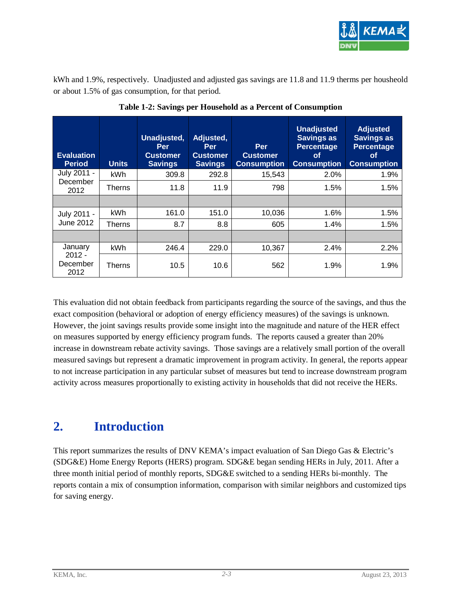

kWh and 1.9%, respectively. Unadjusted and adjusted gas savings are 11.8 and 11.9 therms per housheold or about 1.5% of gas consumption, for that period.

<span id="page-5-1"></span>

| <b>Evaluation</b><br><b>Period</b> | <b>Units</b>  | Unadjusted,<br><b>Per</b><br><b>Customer</b><br><b>Savings</b> | Adjusted,<br><b>Per</b><br><b>Customer</b><br><b>Savings</b> | Per<br><b>Customer</b><br><b>Consumption</b> | <b>Unadjusted</b><br><b>Savings as</b><br><b>Percentage</b><br><b>of</b><br><b>Consumption</b> | <b>Adjusted</b><br><b>Savings as</b><br><b>Percentage</b><br><b>of</b><br><b>Consumption</b> |
|------------------------------------|---------------|----------------------------------------------------------------|--------------------------------------------------------------|----------------------------------------------|------------------------------------------------------------------------------------------------|----------------------------------------------------------------------------------------------|
| July 2011 -                        | kWh           | 309.8                                                          | 292.8                                                        | 15,543                                       | 2.0%                                                                                           | 1.9%                                                                                         |
| December<br>2012                   | <b>Therns</b> | 11.8                                                           | 11.9                                                         | 798                                          | 1.5%                                                                                           | 1.5%                                                                                         |
|                                    |               |                                                                |                                                              |                                              |                                                                                                |                                                                                              |
| July 2011 -                        | kWh           | 161.0                                                          | 151.0                                                        | 10,036                                       | 1.6%                                                                                           | 1.5%                                                                                         |
| June 2012                          | <b>Therns</b> | 8.7                                                            | 8.8                                                          | 605                                          | 1.4%                                                                                           | 1.5%                                                                                         |
|                                    |               |                                                                |                                                              |                                              |                                                                                                |                                                                                              |
| January                            | <b>kWh</b>    | 246.4                                                          | 229.0                                                        | 10,367                                       | 2.4%                                                                                           | 2.2%                                                                                         |
| $2012 -$<br>December<br>2012       | Therns        | 10.5                                                           | 10.6                                                         | 562                                          | 1.9%                                                                                           | 1.9%                                                                                         |

**Table 1-2: Savings per Household as a Percent of Consumption**

This evaluation did not obtain feedback from participants regarding the source of the savings, and thus the exact composition (behavioral or adoption of energy efficiency measures) of the savings is unknown. However, the joint savings results provide some insight into the magnitude and nature of the HER effect on measures supported by energy efficiency program funds. The reports caused a greater than 20% increase in downstream rebate activity savings. Those savings are a relatively small portion of the overall measured savings but represent a dramatic improvement in program activity. In general, the reports appear to not increase participation in any particular subset of measures but tend to increase downstream program activity across measures proportionally to existing activity in households that did not receive the HERs.

## <span id="page-5-0"></span>**2. Introduction**

This report summarizes the results of DNV KEMA's impact evaluation of San Diego Gas & Electric's (SDG&E) Home Energy Reports (HERS) program. SDG&E began sending HERs in July, 2011. After a three month initial period of monthly reports, SDG&E switched to a sending HERs bi-monthly. The reports contain a mix of consumption information, comparison with similar neighbors and customized tips for saving energy.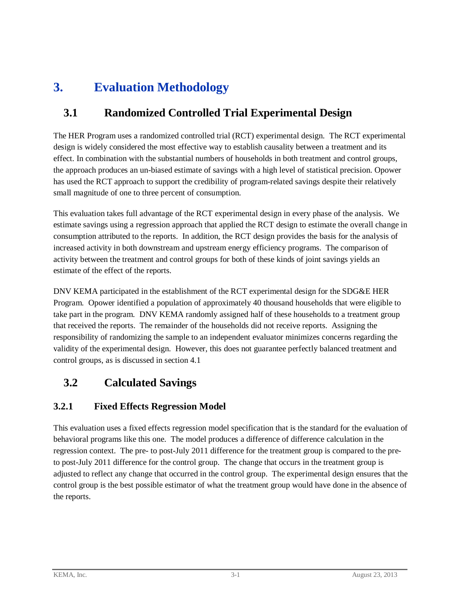## <span id="page-6-0"></span>**3. Evaluation Methodology**

## <span id="page-6-1"></span>**3.1 Randomized Controlled Trial Experimental Design**

The HER Program uses a randomized controlled trial (RCT) experimental design. The RCT experimental design is widely considered the most effective way to establish causality between a treatment and its effect. In combination with the substantial numbers of households in both treatment and control groups, the approach produces an un-biased estimate of savings with a high level of statistical precision. Opower has used the RCT approach to support the credibility of program-related savings despite their relatively small magnitude of one to three percent of consumption.

This evaluation takes full advantage of the RCT experimental design in every phase of the analysis. We estimate savings using a regression approach that applied the RCT design to estimate the overall change in consumption attributed to the reports. In addition, the RCT design provides the basis for the analysis of increased activity in both downstream and upstream energy efficiency programs. The comparison of activity between the treatment and control groups for both of these kinds of joint savings yields an estimate of the effect of the reports.

DNV KEMA participated in the establishment of the RCT experimental design for the SDG&E HER Program. Opower identified a population of approximately 40 thousand households that were eligible to take part in the program. DNV KEMA randomly assigned half of these households to a treatment group that received the reports. The remainder of the households did not receive reports. Assigning the responsibility of randomizing the sample to an independent evaluator minimizes concerns regarding the validity of the experimental design. However, this does not guarantee perfectly balanced treatment and control groups, as is discussed in section [4.1](#page-10-1)

## <span id="page-6-2"></span>**3.2 Calculated Savings**

#### <span id="page-6-3"></span>**3.2.1 Fixed Effects Regression Model**

This evaluation uses a fixed effects regression model specification that is the standard for the evaluation of behavioral programs like this one. The model produces a difference of difference calculation in the regression context. The pre- to post-July 2011 difference for the treatment group is compared to the preto post-July 2011 difference for the control group. The change that occurs in the treatment group is adjusted to reflect any change that occurred in the control group. The experimental design ensures that the control group is the best possible estimator of what the treatment group would have done in the absence of the reports.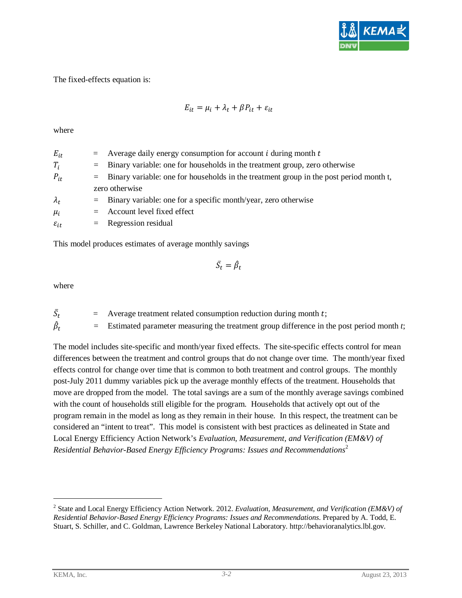

The fixed-effects equation is:

$$
E_{it} = \mu_i + \lambda_t + \beta P_{it} + \varepsilon_{it}
$$

where

| $E_{it}$           | $=$ Average daily energy consumption for account <i>i</i> during month <i>t</i>            |
|--------------------|--------------------------------------------------------------------------------------------|
| $T_i$              | $=$ Binary variable: one for households in the treatment group, zero otherwise             |
| $P_{it}$           | $=$ Binary variable: one for households in the treatment group in the post period month t, |
|                    | zero otherwise                                                                             |
| $\lambda_t$        | $=$ Binary variable: one for a specific month/year, zero otherwise                         |
| $\mu_i$            | $=$ Account level fixed effect                                                             |
| $\varepsilon_{it}$ | $=$ Regression residual                                                                    |
|                    |                                                                                            |

This model produces estimates of average monthly savings

$$
\bar{S}_t = \hat{\beta}_t
$$

where

 $\bar{S}_t$  $=$  Average treatment related consumption reduction during month  $t$ ;  $\hat{\beta}_t$ 

= Estimated parameter measuring the treatment group difference in the post period month *t*;

The model includes site-specific and month/year fixed effects. The site-specific effects control for mean differences between the treatment and control groups that do not change over time. The month/year fixed effects control for change over time that is common to both treatment and control groups. The monthly post-July 2011 dummy variables pick up the average monthly effects of the treatment. Households that move are dropped from the model. The total savings are a sum of the monthly average savings combined with the count of households still eligible for the program. Households that actively opt out of the program remain in the model as long as they remain in their house. In this respect, the treatment can be considered an "intent to treat". This model is consistent with best practices as delineated in State and Local Energy Efficiency Action Network's *Evaluation, Measurement, and Verification (EM&V) of Residential Behavior-Based Energy Efficiency Programs: Issues and Recommendations*[2](#page-7-0)

<span id="page-7-0"></span><sup>2</sup> State and Local Energy Efficiency Action Network. 2012. *Evaluation, Measurement, and Verification (EM&V) of Residential Behavior-Based Energy Efficiency Programs: Issues and Recommendations*. Prepared by A. Todd, E. Stuart, S. Schiller, and C. Goldman, Lawrence Berkeley National Laboratory. http://behavioranalytics.lbl.gov.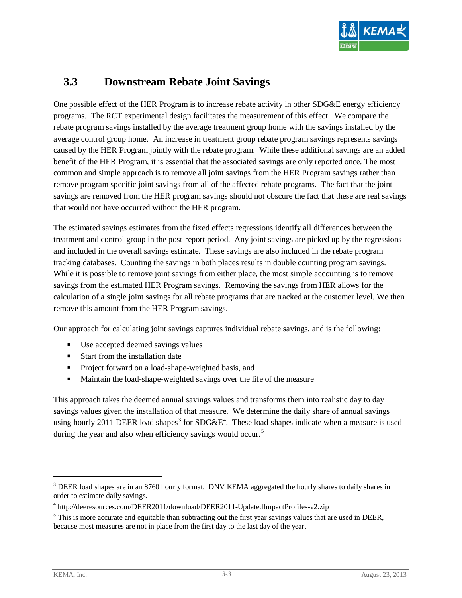

#### <span id="page-8-0"></span>**3.3 Downstream Rebate Joint Savings**

One possible effect of the HER Program is to increase rebate activity in other SDG&E energy efficiency programs. The RCT experimental design facilitates the measurement of this effect. We compare the rebate program savings installed by the average treatment group home with the savings installed by the average control group home. An increase in treatment group rebate program savings represents savings caused by the HER Program jointly with the rebate program. While these additional savings are an added benefit of the HER Program, it is essential that the associated savings are only reported once. The most common and simple approach is to remove all joint savings from the HER Program savings rather than remove program specific joint savings from all of the affected rebate programs. The fact that the joint savings are removed from the HER program savings should not obscure the fact that these are real savings that would not have occurred without the HER program.

The estimated savings estimates from the fixed effects regressions identify all differences between the treatment and control group in the post-report period. Any joint savings are picked up by the regressions and included in the overall savings estimate. These savings are also included in the rebate program tracking databases. Counting the savings in both places results in double counting program savings. While it is possible to remove joint savings from either place, the most simple accounting is to remove savings from the estimated HER Program savings. Removing the savings from HER allows for the calculation of a single joint savings for all rebate programs that are tracked at the customer level. We then remove this amount from the HER Program savings.

Our approach for calculating joint savings captures individual rebate savings, and is the following:

- Use accepted deemed savings values
- Start from the installation date
- **Project forward on a load-shape-weighted basis, and**
- Maintain the load-shape-weighted savings over the life of the measure

This approach takes the deemed annual savings values and transforms them into realistic day to day savings values given the installation of that measure. We determine the daily share of annual savings using hourly 2011 DEER load shapes<sup>[3](#page-8-1)</sup> for SDG&E<sup>[4](#page-8-2)</sup>. These load-shapes indicate when a measure is used during the year and also when efficiency savings would occur.<sup>[5](#page-8-3)</sup>

<span id="page-8-1"></span><sup>&</sup>lt;sup>3</sup> DEER load shapes are in an 8760 hourly format. DNV KEMA aggregated the hourly shares to daily shares in order to estimate daily savings.

<span id="page-8-2"></span><sup>4</sup> http://deeresources.com/DEER2011/download/DEER2011-UpdatedImpactProfiles-v2.zip

<span id="page-8-3"></span> $<sup>5</sup>$  This is more accurate and equitable than subtracting out the first year savings values that are used in DEER,</sup> because most measures are not in place from the first day to the last day of the year.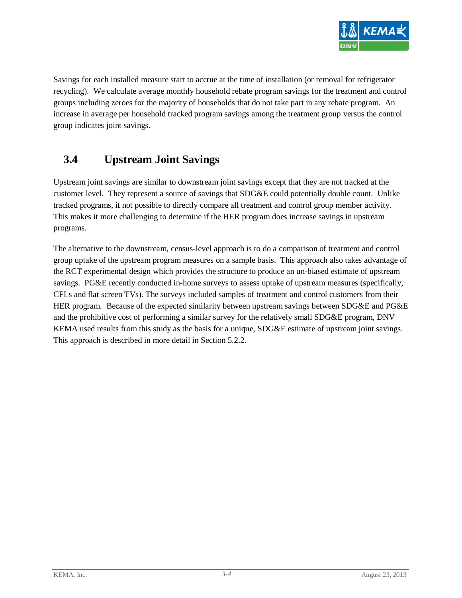

Savings for each installed measure start to accrue at the time of installation (or removal for refrigerator recycling). We calculate average monthly household rebate program savings for the treatment and control groups including zeroes for the majority of households that do not take part in any rebate program. An increase in average per household tracked program savings among the treatment group versus the control group indicates joint savings.

## <span id="page-9-0"></span>**3.4 Upstream Joint Savings**

Upstream joint savings are similar to downstream joint savings except that they are not tracked at the customer level. They represent a source of savings that SDG&E could potentially double count. Unlike tracked programs, it not possible to directly compare all treatment and control group member activity. This makes it more challenging to determine if the HER program does increase savings in upstream programs.

The alternative to the downstream, census-level approach is to do a comparison of treatment and control group uptake of the upstream program measures on a sample basis. This approach also takes advantage of the RCT experimental design which provides the structure to produce an un-biased estimate of upstream savings. PG&E recently conducted in-home surveys to assess uptake of upstream measures (specifically, CFLs and flat screen TVs). The surveys included samples of treatment and control customers from their HER program. Because of the expected similarity between upstream savings between SDG&E and PG&E and the prohibitive cost of performing a similar survey for the relatively small SDG&E program, DNV KEMA used results from this study as the basis for a unique, SDG&E estimate of upstream joint savings. This approach is described in more detail in Section [5.2.2.](#page-28-0)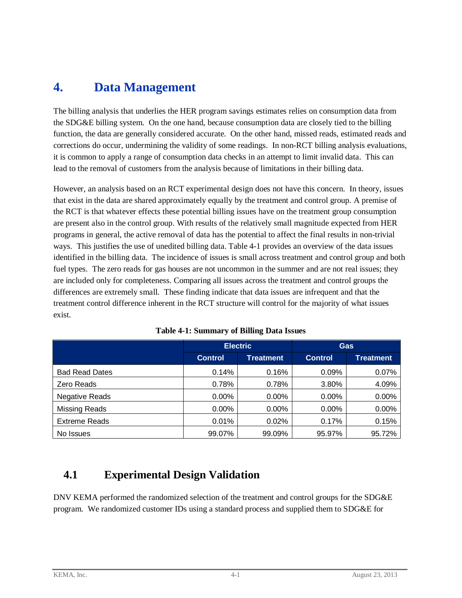## <span id="page-10-0"></span>**4. Data Management**

The billing analysis that underlies the HER program savings estimates relies on consumption data from the SDG&E billing system. On the one hand, because consumption data are closely tied to the billing function, the data are generally considered accurate. On the other hand, missed reads, estimated reads and corrections do occur, undermining the validity of some readings. In non-RCT billing analysis evaluations, it is common to apply a range of consumption data checks in an attempt to limit invalid data. This can lead to the removal of customers from the analysis because of limitations in their billing data.

However, an analysis based on an RCT experimental design does not have this concern. In theory, issues that exist in the data are shared approximately equally by the treatment and control group. A premise of the RCT is that whatever effects these potential billing issues have on the treatment group consumption are present also in the control group. With results of the relatively small magnitude expected from HER programs in general, the active removal of data has the potential to affect the final results in non-trivial ways. This justifies the use of unedited billing data. [Table 4-1](#page-10-2) provides an overview of the data issues identified in the billing data. The incidence of issues is small across treatment and control group and both fuel types. The zero reads for gas houses are not uncommon in the summer and are not real issues; they are included only for completeness. Comparing all issues across the treatment and control groups the differences are extremely small. These finding indicate that data issues are infrequent and that the treatment control difference inherent in the RCT structure will control for the majority of what issues exist.

<span id="page-10-2"></span>

|                       | <b>Electric</b> |           | <b>Gas</b>     |                  |
|-----------------------|-----------------|-----------|----------------|------------------|
|                       | <b>Control</b>  | Treatment | <b>Control</b> | <b>Treatment</b> |
| <b>Bad Read Dates</b> | 0.14%           | 0.16%     | 0.09%          | 0.07%            |
| Zero Reads            | 0.78%           | 0.78%     | 3.80%          | 4.09%            |
| <b>Negative Reads</b> | $0.00\%$        | 0.00%     | 0.00%          | 0.00%            |
| <b>Missing Reads</b>  | $0.00\%$        | $0.00\%$  | $0.00\%$       | 0.00%            |
| <b>Extreme Reads</b>  | 0.01%           | 0.02%     | 0.17%          | 0.15%            |
| No Issues             | 99.07%          | 99.09%    | 95.97%         | 95.72%           |

## <span id="page-10-1"></span>**4.1 Experimental Design Validation**

DNV KEMA performed the randomized selection of the treatment and control groups for the SDG&E program. We randomized customer IDs using a standard process and supplied them to SDG&E for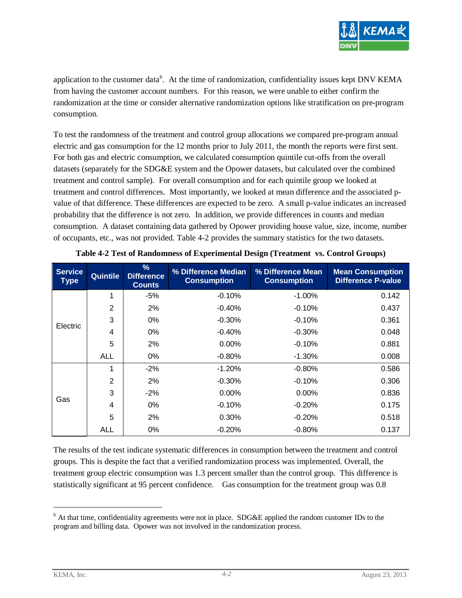

application to the customer data<sup>[6](#page-11-1)</sup>. At the time of randomization, confidentiality issues kept DNV KEMA from having the customer account numbers. For this reason, we were unable to either confirm the randomization at the time or consider alternative randomization options like stratification on pre-program consumption.

To test the randomness of the treatment and control group allocations we compared pre-program annual electric and gas consumption for the 12 months prior to July 2011, the month the reports were first sent. For both gas and electric consumption, we calculated consumption quintile cut-offs from the overall datasets (separately for the SDG&E system and the Opower datasets, but calculated over the combined treatment and control sample). For overall consumption and for each quintile group we looked at treatment and control differences. Most importantly, we looked at mean difference and the associated pvalue of that difference. These differences are expected to be zero. A small p-value indicates an increased probability that the difference is not zero. In addition, we provide differences in counts and median consumption. A dataset containing data gathered by Opower providing house value, size, income, number of occupants, etc., was not provided. [Table 4-2](#page-11-0) provides the summary statistics for the two datasets.

<span id="page-11-0"></span>

| <b>Service</b><br><b>Type</b> | <b>Quintile</b> | $\frac{9}{6}$<br><b>Difference</b><br><b>Counts</b> | % Difference Median<br><b>Consumption</b> | % Difference Mean<br><b>Consumption</b> | <b>Mean Consumption</b><br><b>Difference P-value</b> |
|-------------------------------|-----------------|-----------------------------------------------------|-------------------------------------------|-----------------------------------------|------------------------------------------------------|
|                               | 1               | $-5%$                                               | $-0.10%$                                  | $-1.00%$                                | 0.142                                                |
|                               | $\overline{2}$  | 2%                                                  | $-0.40%$                                  | $-0.10%$                                | 0.437                                                |
|                               | 3               | $0\%$                                               | $-0.30%$                                  | $-0.10%$                                | 0.361                                                |
| Electric                      | 4               | $0\%$                                               | $-0.40%$                                  | $-0.30%$                                | 0.048                                                |
|                               | 5               | 2%                                                  | $0.00\%$                                  | $-0.10%$                                | 0.881                                                |
|                               | ALL             | $0\%$                                               | $-0.80\%$                                 | $-1.30\%$                               | 0.008                                                |
|                               | 1               | $-2%$                                               | $-1.20%$                                  | $-0.80%$                                | 0.586                                                |
|                               | $\overline{2}$  | 2%                                                  | $-0.30%$                                  | $-0.10%$                                | 0.306                                                |
|                               | 3               | $-2%$                                               | 0.00%                                     | $0.00\%$                                | 0.836                                                |
| Gas                           | 4               | $0\%$                                               | $-0.10%$                                  | $-0.20%$                                | 0.175                                                |
|                               | 5               | 2%                                                  | 0.30%                                     | $-0.20%$                                | 0.518                                                |
|                               | <b>ALL</b>      | 0%                                                  | $-0.20%$                                  | $-0.80%$                                | 0.137                                                |

| Table 4-2 Test of Randomness of Experimental Design (Treatment vs. Control Groups) |  |  |  |
|------------------------------------------------------------------------------------|--|--|--|
|------------------------------------------------------------------------------------|--|--|--|

The results of the test indicate systematic differences in consumption between the treatment and control groups. This is despite the fact that a verified randomization process was implemented. Overall, the treatment group electric consumption was 1.3 percent smaller than the control group. This difference is statistically significant at 95 percent confidence. Gas consumption for the treatment group was 0.8

<span id="page-11-1"></span> $6$  At that time, confidentiality agreements were not in place. SDG&E applied the random customer IDs to the program and billing data. Opower was not involved in the randomization process.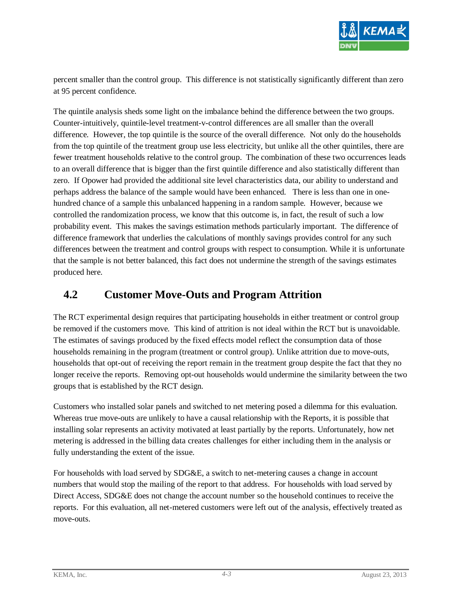

percent smaller than the control group. This difference is not statistically significantly different than zero at 95 percent confidence.

The quintile analysis sheds some light on the imbalance behind the difference between the two groups. Counter-intuitively, quintile-level treatment-v-control differences are all smaller than the overall difference. However, the top quintile is the source of the overall difference. Not only do the households from the top quintile of the treatment group use less electricity, but unlike all the other quintiles, there are fewer treatment households relative to the control group. The combination of these two occurrences leads to an overall difference that is bigger than the first quintile difference and also statistically different than zero. If Opower had provided the additional site level characteristics data, our ability to understand and perhaps address the balance of the sample would have been enhanced. There is less than one in onehundred chance of a sample this unbalanced happening in a random sample. However, because we controlled the randomization process, we know that this outcome is, in fact, the result of such a low probability event. This makes the savings estimation methods particularly important. The difference of difference framework that underlies the calculations of monthly savings provides control for any such differences between the treatment and control groups with respect to consumption. While it is unfortunate that the sample is not better balanced, this fact does not undermine the strength of the savings estimates produced here.

#### <span id="page-12-0"></span>**4.2 Customer Move-Outs and Program Attrition**

The RCT experimental design requires that participating households in either treatment or control group be removed if the customers move. This kind of attrition is not ideal within the RCT but is unavoidable. The estimates of savings produced by the fixed effects model reflect the consumption data of those households remaining in the program (treatment or control group). Unlike attrition due to move-outs, households that opt-out of receiving the report remain in the treatment group despite the fact that they no longer receive the reports. Removing opt-out households would undermine the similarity between the two groups that is established by the RCT design.

Customers who installed solar panels and switched to net metering posed a dilemma for this evaluation. Whereas true move-outs are unlikely to have a causal relationship with the Reports, it is possible that installing solar represents an activity motivated at least partially by the reports. Unfortunately, how net metering is addressed in the billing data creates challenges for either including them in the analysis or fully understanding the extent of the issue.

For households with load served by SDG&E, a switch to net-metering causes a change in account numbers that would stop the mailing of the report to that address. For households with load served by Direct Access, SDG&E does not change the account number so the household continues to receive the reports. For this evaluation, all net-metered customers were left out of the analysis, effectively treated as move-outs.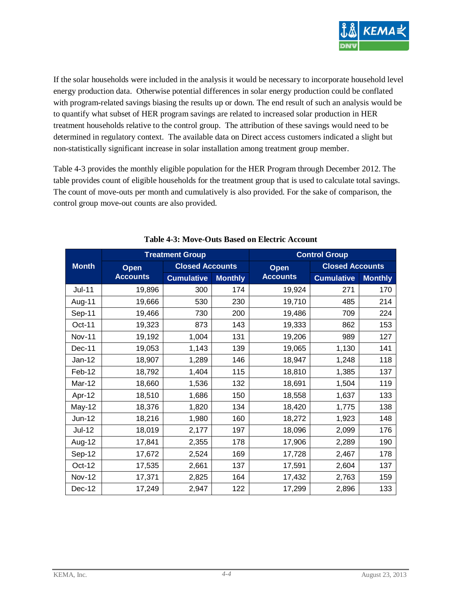

If the solar households were included in the analysis it would be necessary to incorporate household level energy production data. Otherwise potential differences in solar energy production could be conflated with program-related savings biasing the results up or down. The end result of such an analysis would be to quantify what subset of HER program savings are related to increased solar production in HER treatment households relative to the control group. The attribution of these savings would need to be determined in regulatory context. The available data on Direct access customers indicated a slight but non-statistically significant increase in solar installation among treatment group member.

[Table 4-3](#page-13-0) provides the monthly eligible population for the HER Program through December 2012. The table provides count of eligible households for the treatment group that is used to calculate total savings. The count of move-outs per month and cumulatively is also provided. For the sake of comparison, the control group move-out counts are also provided.

<span id="page-13-0"></span>

|               |                 | <b>Treatment Group</b>              |     | <b>Control Group</b> |                        |                |
|---------------|-----------------|-------------------------------------|-----|----------------------|------------------------|----------------|
| <b>Month</b>  | Open            | <b>Closed Accounts</b>              |     | Open                 | <b>Closed Accounts</b> |                |
|               | <b>Accounts</b> | <b>Cumulative</b><br><b>Monthly</b> |     | <b>Accounts</b>      | <b>Cumulative</b>      | <b>Monthly</b> |
| <b>Jul-11</b> | 19,896          | 300                                 | 174 | 19,924               | 271                    | 170            |
| Aug-11        | 19,666          | 530                                 | 230 | 19,710               | 485                    | 214            |
| Sep-11        | 19,466          | 730                                 | 200 | 19,486               | 709                    | 224            |
| Oct-11        | 19,323          | 873                                 | 143 | 19,333               | 862                    | 153            |
| <b>Nov-11</b> | 19,192          | 1,004                               | 131 | 19,206               | 989                    | 127            |
| Dec-11        | 19,053          | 1,143                               | 139 | 19,065               | 1,130                  | 141            |
| Jan-12        | 18,907          | 1,289                               | 146 | 18,947               | 1,248                  | 118            |
| Feb-12        | 18,792          | 1,404                               | 115 | 18,810               | 1,385                  | 137            |
| Mar-12        | 18,660          | 1,536                               | 132 | 18,691               | 1,504                  | 119            |
| Apr-12        | 18,510          | 1,686                               | 150 | 18,558               | 1,637                  | 133            |
| May-12        | 18,376          | 1,820                               | 134 | 18,420               | 1,775                  | 138            |
| $Jun-12$      | 18,216          | 1,980                               | 160 | 18,272               | 1,923                  | 148            |
| $Jul-12$      | 18,019          | 2,177                               | 197 | 18,096               | 2,099                  | 176            |
| Aug-12        | 17,841          | 2,355                               | 178 | 17,906               | 2,289                  | 190            |
| Sep-12        | 17,672          | 2,524                               | 169 | 17,728               | 2,467                  | 178            |
| Oct-12        | 17,535          | 2,661                               | 137 | 17,591               | 2,604                  | 137            |
| <b>Nov-12</b> | 17,371          | 2,825                               | 164 | 17,432               | 2,763                  | 159            |
| Dec-12        | 17,249          | 2,947                               | 122 | 17,299               | 2,896                  | 133            |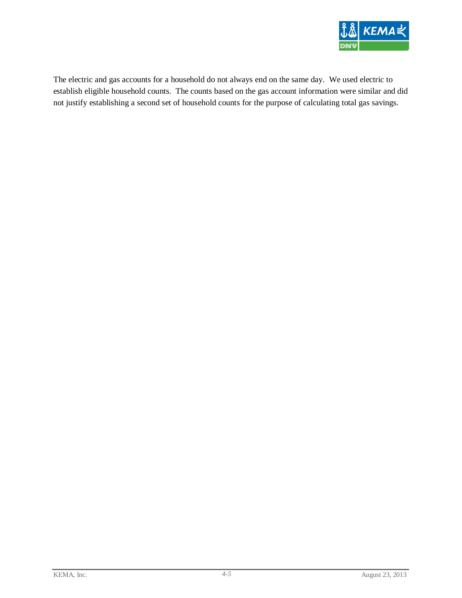

The electric and gas accounts for a household do not always end on the same day. We used electric to establish eligible household counts. The counts based on the gas account information were similar and did not justify establishing a second set of household counts for the purpose of calculating total gas savings.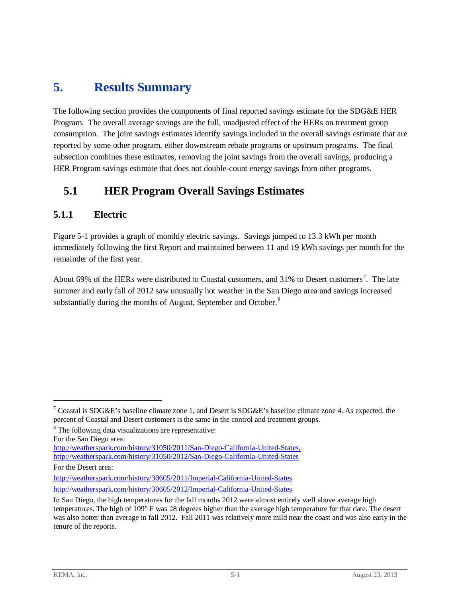## <span id="page-15-0"></span>**5. Results Summary**

The following section provides the components of final reported savings estimate for the SDG&E HER Program. The overall average savings are the full, unadjusted effect of the HERs on treatment group consumption. The joint savings estimates identify savings included in the overall savings estimate that are reported by some other program, either downstream rebate programs or upstream programs. The final subsection combines these estimates, removing the joint savings from the overall savings, producing a HER Program savings estimate that does not double-count energy savings from other programs.

## <span id="page-15-1"></span>**5.1 HER Program Overall Savings Estimates**

#### <span id="page-15-2"></span>**5.1.1 Electric**

[Figure 5-1](#page-16-0) provides a graph of monthly electric savings. Savings jumped to 13.3 kWh per month immediately following the first Report and maintained between 11 and 19 kWh savings per month for the remainder of the first year.

About 69% of the HERs were distributed to Coastal customers, and 31% to Desert customers<sup>[7](#page-15-3)</sup>. The late summer and early fall of 2012 saw unusually hot weather in the San Diego area and savings increased substantially during the months of August, September and October.<sup>[8](#page-15-4)</sup>

For the Desert area:

 $\overline{a}$ 

http://weatherspark.com/history/30605/2011/Imperial-California-United-States <http://weatherspark.com/history/30605/2012/Imperial-California-United-States>

<span id="page-15-3"></span><sup>&</sup>lt;sup>7</sup> Coastal is SDG&E's baseline climate zone 1, and Desert is SDG&E's baseline climate zone 4. As expected, the percent of Coastal and Desert customers is the same in the control and treatment groups.

<span id="page-15-4"></span><sup>&</sup>lt;sup>8</sup> The following data visualizations are representative:

For the San Diego area:

[http://weatherspark.com/history/31050/2011/San-Diego-California-United-States,](http://weatherspark.com/history/31050/2011/San-Diego-California-United-States) <http://weatherspark.com/history/31050/2012/San-Diego-California-United-States>

In San Diego, the high temperatures for the fall months 2012 were almost entirely well above average high temperatures. The high of 109° F was 28 degrees higher than the average high temperature for that date. The desert was also hotter than average in fall 2012. Fall 2011 was relatively more mild near the coast and was also early in the tenure of the reports.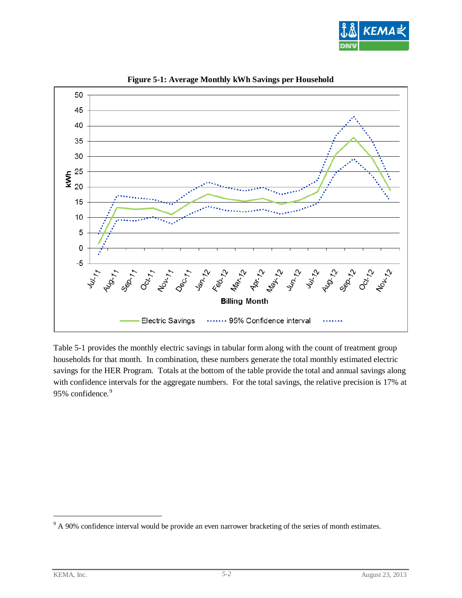

<span id="page-16-0"></span>

**Figure 5-1: Average Monthly kWh Savings per Household**

[Table 5-1](#page-17-0) provides the monthly electric savings in tabular form along with the count of treatment group households for that month. In combination, these numbers generate the total monthly estimated electric savings for the HER Program. Totals at the bottom of the table provide the total and annual savings along with confidence intervals for the aggregate numbers. For the total savings, the relative precision is 17% at [9](#page-16-1)5% confidence.<sup>9</sup>

<span id="page-16-1"></span><sup>&</sup>lt;sup>9</sup> A 90% confidence interval would be provide an even narrower bracketing of the series of month estimates.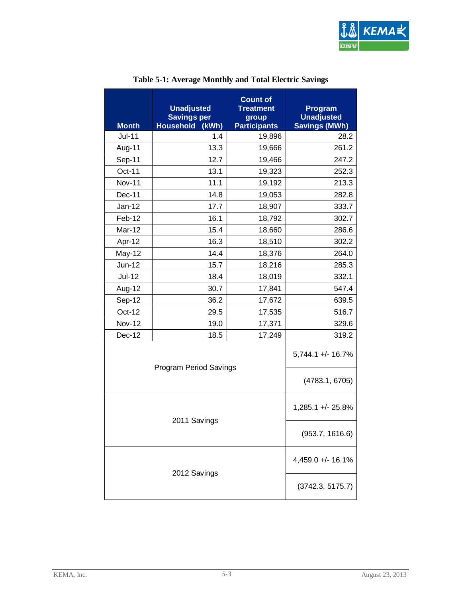

<span id="page-17-0"></span>

| <b>Month</b>  | <b>Unadjusted</b><br><b>Savings per</b><br>(kWh)<br><b>Household</b> | <b>Count of</b><br><b>Treatment</b><br>group<br><b>Participants</b> |                              |
|---------------|----------------------------------------------------------------------|---------------------------------------------------------------------|------------------------------|
| <b>Jul-11</b> | 1.4                                                                  | 19,896                                                              | <b>Savings (MWh)</b><br>28.2 |
| Aug-11        | 13.3                                                                 | 19,666                                                              | 261.2                        |
| Sep-11        | 12.7                                                                 | 19,466                                                              | 247.2                        |
| Oct-11        | 13.1                                                                 | 19,323                                                              | 252.3                        |
| <b>Nov-11</b> | 11.1                                                                 | 19,192                                                              | 213.3                        |
| Dec-11        | 14.8                                                                 | 19,053                                                              | 282.8                        |
| Jan-12        | 17.7                                                                 | 18,907                                                              | 333.7                        |
| Feb-12        | 16.1                                                                 | 18,792                                                              | 302.7                        |
| Mar-12        | 15.4                                                                 | 18,660                                                              | 286.6                        |
| Apr-12        | 16.3                                                                 | 18,510                                                              | 302.2                        |
| May-12        | 14.4                                                                 | 18,376                                                              | 264.0                        |
| $Jun-12$      | 15.7                                                                 | 18,216                                                              | 285.3                        |
| <b>Jul-12</b> | 18.4                                                                 | 18,019                                                              | 332.1                        |
| Aug-12        | 30.7                                                                 | 17,841                                                              | 547.4                        |
| Sep-12        | 36.2                                                                 | 17,672                                                              | 639.5                        |
| Oct-12        | 29.5                                                                 | 17,535                                                              | 516.7                        |
| <b>Nov-12</b> | 19.0                                                                 | 17,371                                                              | 329.6                        |
| Dec-12        | 18.5                                                                 | 17,249                                                              | 319.2                        |
|               | Program Period Savings                                               |                                                                     | 5,744.1 +/- 16.7%            |
|               |                                                                      |                                                                     | (4783.1, 6705)               |
|               | 2011 Savings                                                         |                                                                     | 1,285.1 +/- 25.8%            |
|               | (953.7, 1616.6)                                                      |                                                                     |                              |
|               |                                                                      |                                                                     | 4,459.0 +/- 16.1%            |
|               | 2012 Savings                                                         |                                                                     | (3742.3, 5175.7)             |

#### **Table 5-1: Average Monthly and Total Electric Savings**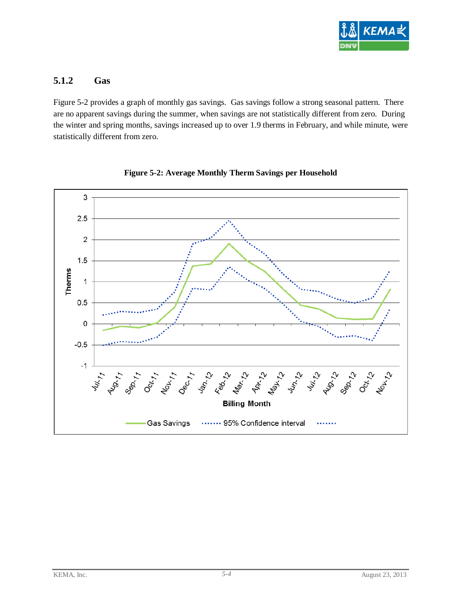

#### <span id="page-18-0"></span>**5.1.2 Gas**

[Figure 5-2](#page-18-1) provides a graph of monthly gas savings. Gas savings follow a strong seasonal pattern. There are no apparent savings during the summer, when savings are not statistically different from zero. During the winter and spring months, savings increased up to over 1.9 therms in February, and while minute, were statistically different from zero.

<span id="page-18-1"></span>

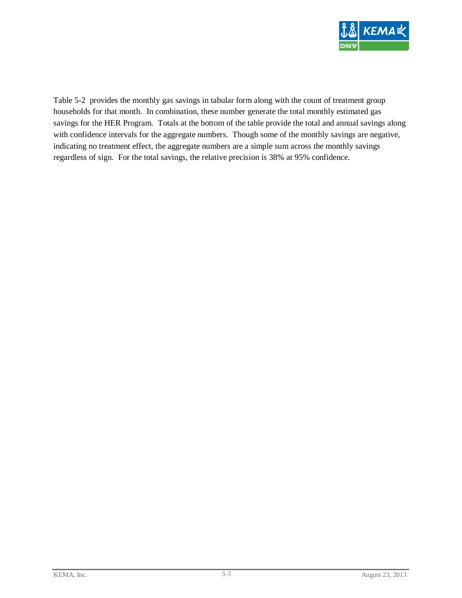

[Table 5-2](#page-20-0) provides the monthly gas savings in tabular form along with the count of treatment group households for that month. In combination, these number generate the total monthly estimated gas savings for the HER Program. Totals at the bottom of the table provide the total and annual savings along with confidence intervals for the aggregate numbers. Though some of the monthly savings are negative, indicating no treatment effect, the aggregate numbers are a simple sum across the monthly savings regardless of sign. For the total savings, the relative precision is 38% at 95% confidence.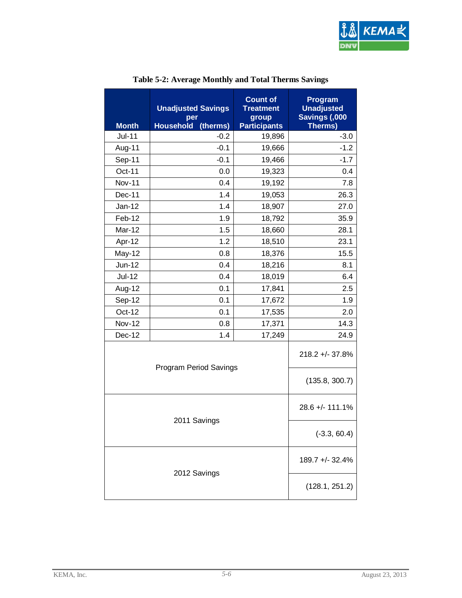

<span id="page-20-0"></span>

| <b>Month</b>  | <b>Unadjusted Savings</b><br>per<br><b>Household</b><br>(therms) | <b>Count of</b><br><b>Treatment</b><br>group<br><b>Participants</b> |                 |  |
|---------------|------------------------------------------------------------------|---------------------------------------------------------------------|-----------------|--|
| $Jul-11$      | $-0.2$                                                           | 19,896                                                              | $-3.0$          |  |
| Aug-11        | $-0.1$                                                           | 19,666                                                              | $-1.2$          |  |
| Sep-11        | $-0.1$                                                           | 19,466                                                              | $-1.7$          |  |
| Oct-11        | 0.0                                                              | 19,323                                                              | 0.4             |  |
| <b>Nov-11</b> | 0.4                                                              | 19,192                                                              | 7.8             |  |
| Dec-11        | 1.4                                                              | 19,053                                                              | 26.3            |  |
| $Jan-12$      | 1.4                                                              | 18,907                                                              | 27.0            |  |
| Feb-12        | 1.9                                                              | 18,792                                                              | 35.9            |  |
| Mar-12        | 1.5                                                              | 18,660                                                              | 28.1            |  |
| Apr-12        | 1.2                                                              | 18,510                                                              | 23.1            |  |
| May-12        | 0.8                                                              | 18,376                                                              | 15.5            |  |
| Jun-12        | 0.4                                                              | 18,216                                                              | 8.1             |  |
| <b>Jul-12</b> | 0.4                                                              | 18,019                                                              | 6.4             |  |
| Aug-12        | 0.1                                                              | 17,841                                                              | 2.5             |  |
| Sep-12        | 0.1                                                              | 17,672                                                              | 1.9             |  |
| Oct-12        | 0.1                                                              | 17,535                                                              | 2.0             |  |
| <b>Nov-12</b> | 0.8                                                              | 17,371                                                              | 14.3            |  |
| Dec-12        | 1.4                                                              | 17,249                                                              | 24.9            |  |
|               | Program Period Savings                                           |                                                                     |                 |  |
|               |                                                                  |                                                                     | (135.8, 300.7)  |  |
|               | 2011 Savings                                                     |                                                                     | 28.6 +/- 111.1% |  |
|               | $(-3.3, 60.4)$                                                   |                                                                     |                 |  |
|               | 189.7 +/- 32.4%                                                  |                                                                     |                 |  |
|               | 2012 Savings                                                     |                                                                     | (128.1, 251.2)  |  |

#### **Table 5-2: Average Monthly and Total Therms Savings**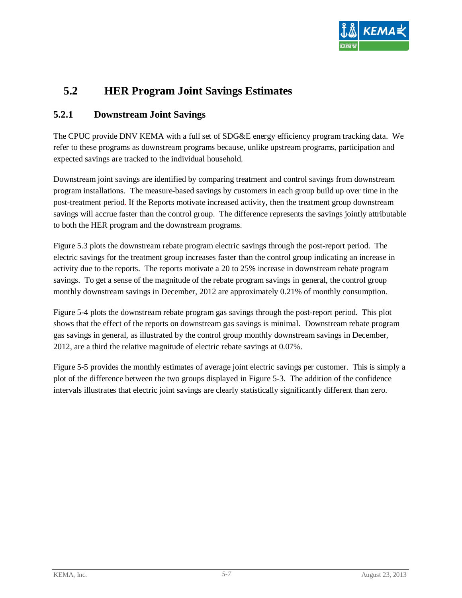

## <span id="page-21-0"></span>**5.2 HER Program Joint Savings Estimates**

#### <span id="page-21-1"></span>**5.2.1 Downstream Joint Savings**

The CPUC provide DNV KEMA with a full set of SDG&E energy efficiency program tracking data. We refer to these programs as downstream programs because, unlike upstream programs, participation and expected savings are tracked to the individual household.

Downstream joint savings are identified by comparing treatment and control savings from downstream program installations. The measure-based savings by customers in each group build up over time in the post-treatment period. If the Reports motivate increased activity, then the treatment group downstream savings will accrue faster than the control group. The difference represents the savings jointly attributable to both the HER program and the downstream programs.

Figure 5.3 plots the downstream rebate program electric savings through the post-report period. The electric savings for the treatment group increases faster than the control group indicating an increase in activity due to the reports. The reports motivate a 20 to 25% increase in downstream rebate program savings. To get a sense of the magnitude of the rebate program savings in general, the control group monthly downstream savings in December, 2012 are approximately 0.21% of monthly consumption.

[Figure 5-4](#page-22-0) plots the downstream rebate program gas savings through the post-report period. This plot shows that the effect of the reports on downstream gas savings is minimal. Downstream rebate program gas savings in general, as illustrated by the control group monthly downstream savings in December, 2012, are a third the relative magnitude of electric rebate savings at 0.07%.

[Figure 5-5](#page-23-0) provides the monthly estimates of average joint electric savings per customer. This is simply a plot of the difference between the two groups displayed in [Figure 5-3.](#page-22-1) The addition of the confidence intervals illustrates that electric joint savings are clearly statistically significantly different than zero.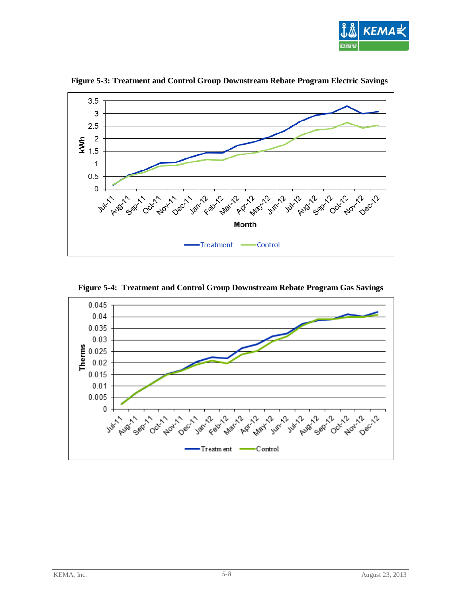

<span id="page-22-1"></span>

**Figure 5-3: Treatment and Control Group Downstream Rebate Program Electric Savings**

<span id="page-22-0"></span>

**Figure 5-4: Treatment and Control Group Downstream Rebate Program Gas Savings**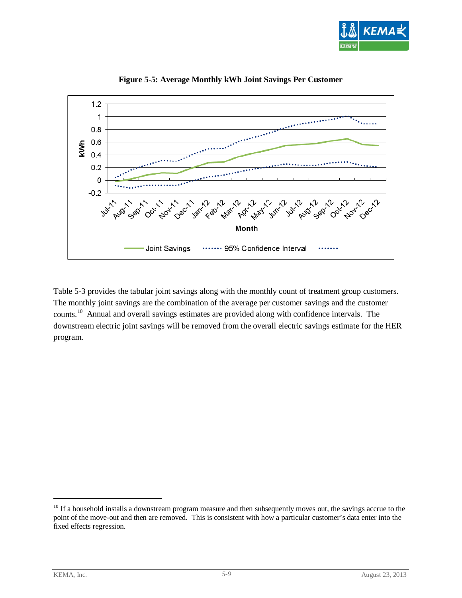

<span id="page-23-0"></span>

**Figure 5-5: Average Monthly kWh Joint Savings Per Customer**

[Table 5-3](#page-24-0) provides the tabular joint savings along with the monthly count of treatment group customers. The monthly joint savings are the combination of the average per customer savings and the customer counts.[10](#page-23-1) Annual and overall savings estimates are provided along with confidence intervals. The downstream electric joint savings will be removed from the overall electric savings estimate for the HER program.

<span id="page-23-1"></span> $10$  If a household installs a downstream program measure and then subsequently moves out, the savings accrue to the point of the move-out and then are removed. This is consistent with how a particular customer's data enter into the fixed effects regression.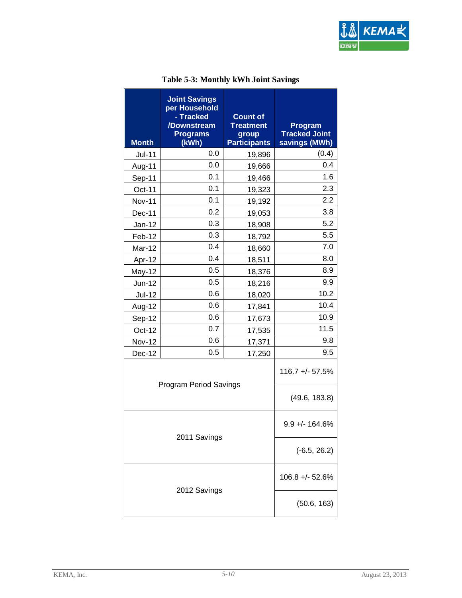

<span id="page-24-0"></span>

| <b>Month</b>  | <b>Joint Savings</b><br>per Household<br>- Tracked<br>/Downstream<br><b>Programs</b><br>(kWh) | <b>Count of</b><br><b>Treatment</b><br>group<br><b>Participants</b> | Program<br><b>Tracked Joint</b><br>savings (MWh) |
|---------------|-----------------------------------------------------------------------------------------------|---------------------------------------------------------------------|--------------------------------------------------|
| <b>Jul-11</b> | 0.0                                                                                           | 19,896                                                              | (0.4)                                            |
| Aug-11        | 0.0                                                                                           | 19,666                                                              | 0.4                                              |
| Sep-11        | 0.1                                                                                           | 19,466                                                              | 1.6                                              |
| Oct-11        | 0.1                                                                                           | 19,323                                                              | 2.3                                              |
| <b>Nov-11</b> | 0.1                                                                                           | 19,192                                                              | 2.2                                              |
| Dec-11        | 0.2                                                                                           | 19,053                                                              | 3.8                                              |
| Jan-12        | 0.3                                                                                           | 18,908                                                              | 5.2                                              |
| Feb-12        | 0.3                                                                                           | 18,792                                                              | 5.5                                              |
| Mar-12        | 0.4                                                                                           | 18,660                                                              | 7.0                                              |
| Apr-12        | 0.4                                                                                           | 18,511                                                              | 8.0                                              |
| May-12        | 0.5                                                                                           | 18,376                                                              | 8.9                                              |
| Jun-12        | 0.5                                                                                           | 18,216                                                              | 9.9                                              |
| <b>Jul-12</b> | 0.6                                                                                           | 18,020                                                              | 10.2                                             |
| Aug-12        | 0.6                                                                                           | 17,841                                                              | 10.4                                             |
| Sep-12        | 0.6                                                                                           | 17,673                                                              | 10.9                                             |
| Oct-12        | 0.7                                                                                           | 17,535                                                              | 11.5                                             |
| Nov-12        | 0.6                                                                                           | 17,371                                                              | 9.8                                              |
| Dec-12        | 0.5                                                                                           | 17,250                                                              | 9.5                                              |
|               | <b>Program Period Savings</b>                                                                 |                                                                     | $116.7 + - 57.5%$                                |
|               |                                                                                               |                                                                     | (49.6, 183.8)                                    |
|               |                                                                                               |                                                                     | $9.9 + - 164.6%$                                 |
| 2011 Savings  |                                                                                               |                                                                     | $(-6.5, 26.2)$                                   |
| 2012 Savings  |                                                                                               |                                                                     | 106.8 +/- 52.6%                                  |
|               |                                                                                               |                                                                     | (50.6, 163)                                      |

#### **Table 5-3: Monthly kWh Joint Savings**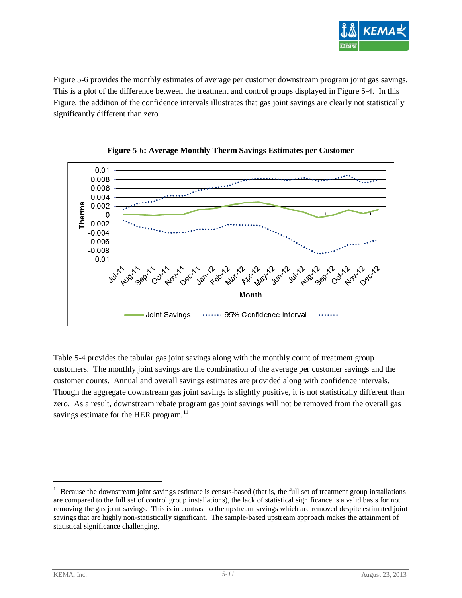

[Figure 5-6](#page-25-0) provides the monthly estimates of average per customer downstream program joint gas savings. This is a plot of the difference between the treatment and control groups displayed in [Figure 5-4.](#page-22-0) In this Figure, the addition of the confidence intervals illustrates that gas joint savings are clearly not statistically significantly different than zero.

<span id="page-25-0"></span>



[Table 5-4](#page-26-0) provides the tabular gas joint savings along with the monthly count of treatment group customers. The monthly joint savings are the combination of the average per customer savings and the customer counts. Annual and overall savings estimates are provided along with confidence intervals. Though the aggregate downstream gas joint savings is slightly positive, it is not statistically different than zero. As a result, downstream rebate program gas joint savings will not be removed from the overall gas savings estimate for the HER program.<sup>[11](#page-25-1)</sup>

<span id="page-25-1"></span> $11$  Because the downstream joint savings estimate is census-based (that is, the full set of treatment group installations are compared to the full set of control group installations), the lack of statistical significance is a valid basis for not removing the gas joint savings. This is in contrast to the upstream savings which are removed despite estimated joint savings that are highly non-statistically significant. The sample-based upstream approach makes the attainment of statistical significance challenging.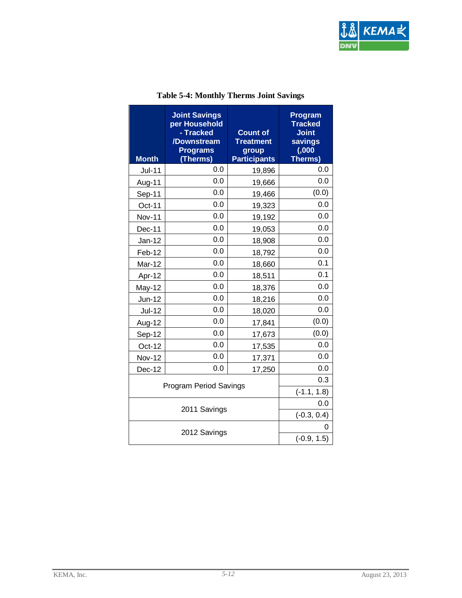

<span id="page-26-0"></span>

| <b>Month</b>                  | <b>Joint Savings</b><br>per Household<br>- Tracked<br>/Downstream<br><b>Programs</b><br>Therms) | <b>Count of</b><br><b>Treatment</b><br>group<br><b>Participants</b> | <b>Program</b><br><b>Tracked</b><br><b>Joint</b><br>savings<br>(0,000)<br>Therms) |
|-------------------------------|-------------------------------------------------------------------------------------------------|---------------------------------------------------------------------|-----------------------------------------------------------------------------------|
| <b>Jul-11</b>                 | 0.0                                                                                             | 19,896                                                              | 0.0                                                                               |
| Aug-11                        | 0.0                                                                                             | 19,666                                                              | 0.0                                                                               |
| Sep-11                        | 0.0                                                                                             | 19,466                                                              | (0.0)                                                                             |
| Oct-11                        | 0.0                                                                                             | 19,323                                                              | 0.0                                                                               |
| <b>Nov-11</b>                 | 0.0                                                                                             | 19,192                                                              | 0.0                                                                               |
| Dec-11                        | 0.0                                                                                             | 19,053                                                              | 0.0                                                                               |
| Jan-12                        | 0.0                                                                                             | 18,908                                                              | 0.0                                                                               |
| Feb-12                        | 0.0                                                                                             | 18,792                                                              | 0.0                                                                               |
| Mar-12                        | 0.0                                                                                             | 18,660                                                              | 0.1                                                                               |
| Apr-12                        | 0.0                                                                                             | 18,511                                                              | 0.1                                                                               |
| May-12                        | 0.0                                                                                             | 18,376                                                              | 0.0                                                                               |
| Jun-12                        | 0.0                                                                                             | 18,216                                                              | 0.0                                                                               |
| <b>Jul-12</b>                 | 0.0                                                                                             | 18,020                                                              | 0.0                                                                               |
| Aug-12                        | 0.0                                                                                             | 17,841                                                              | (0.0)                                                                             |
| Sep-12                        | 0.0                                                                                             | 17,673                                                              | (0.0)                                                                             |
| $Oct-12$                      | 0.0                                                                                             | 17,535                                                              | 0.0                                                                               |
| <b>Nov-12</b>                 | 0.0                                                                                             | 17,371                                                              | 0.0                                                                               |
| Dec-12                        | 0.0                                                                                             | 17,250                                                              | 0.0                                                                               |
| <b>Program Period Savings</b> |                                                                                                 |                                                                     | 0.3                                                                               |
|                               |                                                                                                 |                                                                     | $(-1.1, 1.8)$                                                                     |
| 2011 Savings                  |                                                                                                 |                                                                     | 0.0                                                                               |
|                               |                                                                                                 |                                                                     | $(-0.3, 0.4)$                                                                     |
| 2012 Savings                  |                                                                                                 |                                                                     | 0                                                                                 |
|                               |                                                                                                 |                                                                     | $(-0.9, 1.5)$                                                                     |

#### **Table 5-4: Monthly Therms Joint Savings**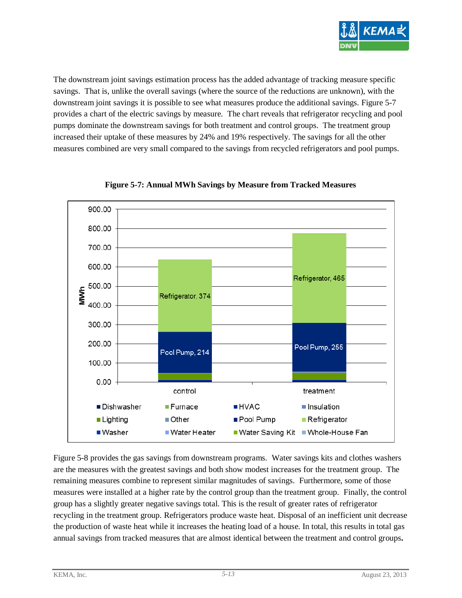

The downstream joint savings estimation process has the added advantage of tracking measure specific savings. That is, unlike the overall savings (where the source of the reductions are unknown), with the downstream joint savings it is possible to see what measures produce the additional savings. [Figure 5-7](#page-27-0) provides a chart of the electric savings by measure. The chart reveals that refrigerator recycling and pool pumps dominate the downstream savings for both treatment and control groups. The treatment group increased their uptake of these measures by 24% and 19% respectively. The savings for all the other measures combined are very small compared to the savings from recycled refrigerators and pool pumps.

<span id="page-27-0"></span>

**Figure 5-7: Annual MWh Savings by Measure from Tracked Measures**

[Figure 5-8](#page-28-1) provides the gas savings from downstream programs. Water savings kits and clothes washers are the measures with the greatest savings and both show modest increases for the treatment group. The remaining measures combine to represent similar magnitudes of savings. Furthermore, some of those measures were installed at a higher rate by the control group than the treatment group. Finally, the control group has a slightly greater negative savings total. This is the result of greater rates of refrigerator recycling in the treatment group. Refrigerators produce waste heat. Disposal of an inefficient unit decrease the production of waste heat while it increases the heating load of a house. In total, this results in total gas annual savings from tracked measures that are almost identical between the treatment and control groups**.**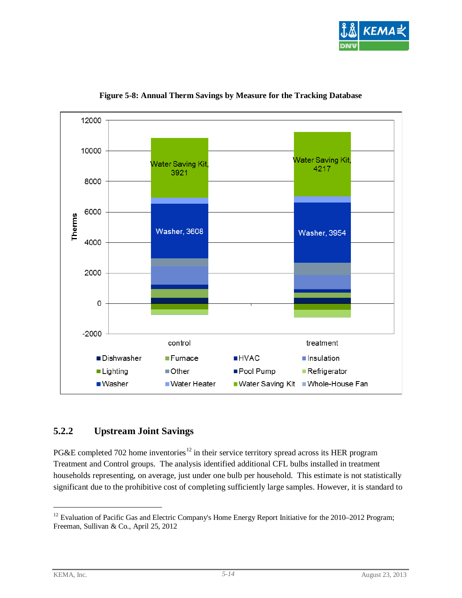

<span id="page-28-1"></span>

**Figure 5-8: Annual Therm Savings by Measure for the Tracking Database**

#### <span id="page-28-0"></span>**5.2.2 Upstream Joint Savings**

PG&E completed 702 home inventories<sup>[12](#page-28-2)</sup> in their service territory spread across its HER program Treatment and Control groups. The analysis identified additional CFL bulbs installed in treatment households representing, on average, just under one bulb per household. This estimate is not statistically significant due to the prohibitive cost of completing sufficiently large samples. However, it is standard to

<span id="page-28-2"></span><sup>&</sup>lt;sup>12</sup> Evaluation of Pacific Gas and Electric Company's Home Energy Report Initiative for the 2010–2012 Program; Freeman, Sullivan & Co., April 25, 2012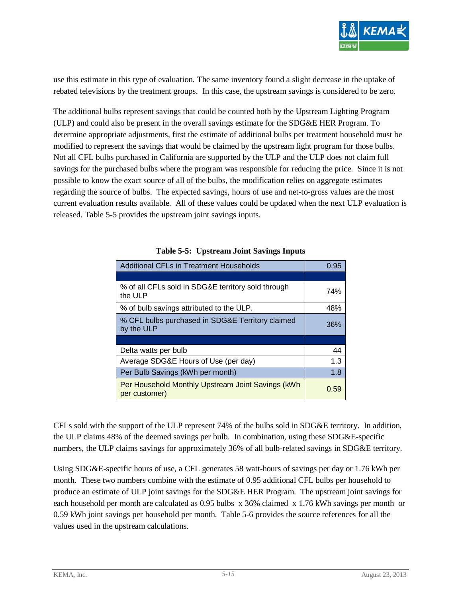

use this estimate in this type of evaluation. The same inventory found a slight decrease in the uptake of rebated televisions by the treatment groups. In this case, the upstream savings is considered to be zero.

The additional bulbs represent savings that could be counted both by the Upstream Lighting Program (ULP) and could also be present in the overall savings estimate for the SDG&E HER Program. To determine appropriate adjustments, first the estimate of additional bulbs per treatment household must be modified to represent the savings that would be claimed by the upstream light program for those bulbs. Not all CFL bulbs purchased in California are supported by the ULP and the ULP does not claim full savings for the purchased bulbs where the program was responsible for reducing the price. Since it is not possible to know the exact source of all of the bulbs, the modification relies on aggregate estimates regarding the source of bulbs. The expected savings, hours of use and net-to-gross values are the most current evaluation results available. All of these values could be updated when the next ULP evaluation is released. [Table 5-5](#page-29-0) provides the upstream joint savings inputs.

<span id="page-29-0"></span>

| <b>Additional CFLs in Treatment Households</b>                     | 0.95 |
|--------------------------------------------------------------------|------|
|                                                                    |      |
| % of all CFLs sold in SDG&E territory sold through<br>the ULP      | 74%  |
| % of bulb savings attributed to the ULP.                           | 48%  |
| % CFL bulbs purchased in SDG&E Territory claimed<br>by the ULP     | 36%  |
|                                                                    |      |
| Delta watts per bulb                                               | 44   |
| Average SDG&E Hours of Use (per day)                               | 1.3  |
| Per Bulb Savings (kWh per month)                                   | 1.8  |
| Per Household Monthly Upstream Joint Savings (kWh<br>per customer) | 0.59 |

CFLs sold with the support of the ULP represent 74% of the bulbs sold in SDG&E territory. In addition, the ULP claims 48% of the deemed savings per bulb. In combination, using these SDG&E-specific numbers, the ULP claims savings for approximately 36% of all bulb-related savings in SDG&E territory.

Using SDG&E-specific hours of use, a CFL generates 58 watt-hours of savings per day or 1.76 kWh per month. These two numbers combine with the estimate of 0.95 additional CFL bulbs per household to produce an estimate of ULP joint savings for the SDG&E HER Program. The upstream joint savings for each household per month are calculated as 0.95 bulbs x 36% claimed x 1.76 kWh savings per month or 0.59 kWh joint savings per household per month. Table 5-6 provides the source references for all the values used in the upstream calculations.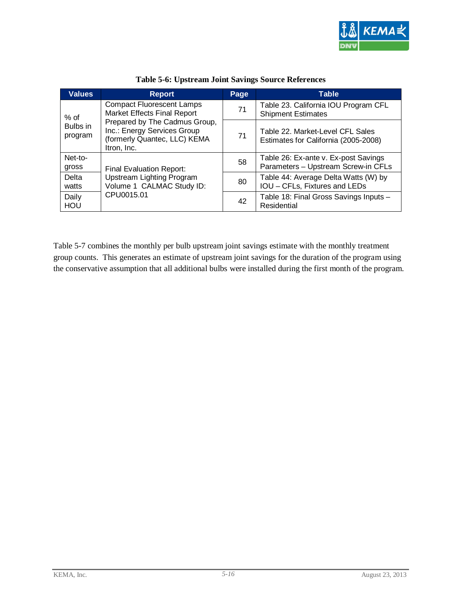

<span id="page-30-0"></span>

| <b>Values</b>         | <b>Report</b>                                                                                               | Page | <b>Table</b>                                                                |
|-----------------------|-------------------------------------------------------------------------------------------------------------|------|-----------------------------------------------------------------------------|
| $%$ of                | <b>Compact Fluorescent Lamps</b><br>Market Effects Final Report                                             | 71   | Table 23. California IOU Program CFL<br><b>Shipment Estimates</b>           |
| Bulbs in<br>program   | Prepared by The Cadmus Group,<br>Inc.: Energy Services Group<br>(formerly Quantec, LLC) KEMA<br>Itron, Inc. | 71   | Table 22. Market-Level CFL Sales<br>Estimates for California (2005-2008)    |
| Net-to-<br>gross      | <b>Final Evaluation Report:</b>                                                                             | 58   | Table 26: Ex-ante v. Ex-post Savings<br>Parameters - Upstream Screw-in CFLs |
| <b>Delta</b><br>watts | Upstream Lighting Program<br>Volume 1 CALMAC Study ID:                                                      | 80   | Table 44: Average Delta Watts (W) by<br>IOU - CFLs, Fixtures and LEDs       |
| Daily<br>HOU          | CPU0015.01                                                                                                  | 42   | Table 18: Final Gross Savings Inputs -<br>Residential                       |

**Table 5-6: Upstream Joint Savings Source References**

Table 5-7 combines the monthly per bulb upstream joint savings estimate with the monthly treatment group counts. This generates an estimate of upstream joint savings for the duration of the program using the conservative assumption that all additional bulbs were installed during the first month of the program.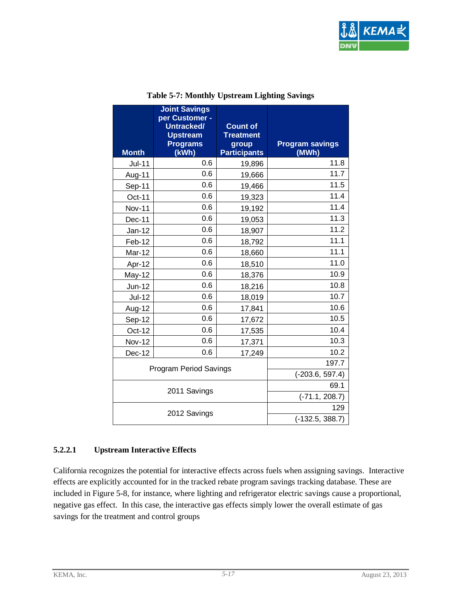

<span id="page-31-0"></span>

| <b>Month</b>                  | <b>Joint Savings</b><br>per Customer -<br>Untracked/<br><b>Upstream</b><br><b>Programs</b><br>(kWh) | <b>Count of</b><br><b>Treatment</b><br>group<br><b>Participants</b> | <b>Program savings</b><br>(MWh) |
|-------------------------------|-----------------------------------------------------------------------------------------------------|---------------------------------------------------------------------|---------------------------------|
| <b>Jul-11</b>                 | 0.6                                                                                                 | 19,896                                                              | 11.8                            |
| Aug-11                        | 0.6                                                                                                 | 19,666                                                              | 11.7                            |
| Sep-11                        | 0.6                                                                                                 | 19,466                                                              | 11.5                            |
| Oct-11                        | 0.6                                                                                                 | 19,323                                                              | 11.4                            |
| <b>Nov-11</b>                 | 0.6                                                                                                 | 19,192                                                              | 11.4                            |
| $Dec-11$                      | 0.6                                                                                                 | 19,053                                                              | 11.3                            |
| $Jan-12$                      | 0.6                                                                                                 | 18,907                                                              | 11.2                            |
| Feb-12                        | 0.6                                                                                                 | 18,792                                                              | 11.1                            |
| Mar-12                        | 0.6                                                                                                 | 18,660                                                              | 11.1                            |
| Apr-12                        | 0.6                                                                                                 | 18,510                                                              | 11.0                            |
| May-12                        | 0.6                                                                                                 | 18,376                                                              | 10.9                            |
| Jun-12                        | 0.6                                                                                                 | 18,216                                                              | 10.8                            |
| <b>Jul-12</b>                 | 0.6                                                                                                 | 18,019                                                              | 10.7                            |
| Aug-12                        | 0.6                                                                                                 | 17,841                                                              | 10.6                            |
| Sep-12                        | 0.6                                                                                                 | 17,672                                                              | 10.5                            |
| Oct-12                        | 0.6                                                                                                 | 17,535                                                              | 10.4                            |
| <b>Nov-12</b>                 | 0.6                                                                                                 | 17,371                                                              | 10.3                            |
| Dec-12                        | 0.6                                                                                                 | 17,249                                                              | 10.2                            |
|                               |                                                                                                     |                                                                     | 197.7                           |
| <b>Program Period Savings</b> |                                                                                                     | $(-203.6, 597.4)$                                                   |                                 |
| 2011 Savings                  |                                                                                                     |                                                                     | 69.1                            |
|                               |                                                                                                     |                                                                     | $(-71.1, 208.7)$                |
| 2012 Savings                  |                                                                                                     | 129                                                                 |                                 |
|                               |                                                                                                     |                                                                     | $(-132.5, 388.7)$               |

#### **Table 5-7: Monthly Upstream Lighting Savings**

#### **5.2.2.1 Upstream Interactive Effects**

California recognizes the potential for interactive effects across fuels when assigning savings. Interactive effects are explicitly accounted for in the tracked rebate program savings tracking database. These are included in [Figure 5-8,](#page-28-1) for instance, where lighting and refrigerator electric savings cause a proportional, negative gas effect. In this case, the interactive gas effects simply lower the overall estimate of gas savings for the treatment and control groups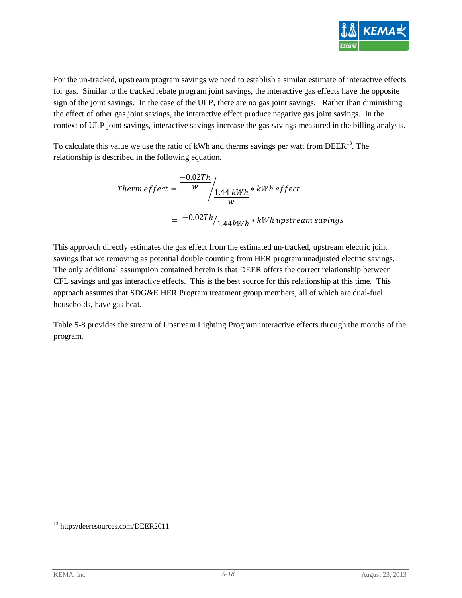

For the un-tracked, upstream program savings we need to establish a similar estimate of interactive effects for gas. Similar to the tracked rebate program joint savings, the interactive gas effects have the opposite sign of the joint savings. In the case of the ULP, there are no gas joint savings. Rather than diminishing the effect of other gas joint savings, the interactive effect produce negative gas joint savings. In the context of ULP joint savings, interactive savings increase the gas savings measured in the billing analysis.

To calculate this value we use the ratio of kWh and therms savings per watt from DEER<sup>13</sup>. The relationship is described in the following equation.

$$
Therm\,effect = \frac{-0.02Th}{w} / \frac{1.44 \, kWh \cdot kWh\,effect}{w}
$$

$$
= -0.02Th / 1.44 kWh \cdot kWh\,upstream\,savings
$$

This approach directly estimates the gas effect from the estimated un-tracked, upstream electric joint savings that we removing as potential double counting from HER program unadjusted electric savings. The only additional assumption contained herein is that DEER offers the correct relationship between CFL savings and gas interactive effects. This is the best source for this relationship at this time. This approach assumes that SDG&E HER Program treatment group members, all of which are dual-fuel households, have gas heat.

[Table 5-8](#page-33-1) provides the stream of Upstream Lighting Program interactive effects through the months of the program.

<span id="page-32-0"></span><sup>13</sup> http://deeresources.com/DEER2011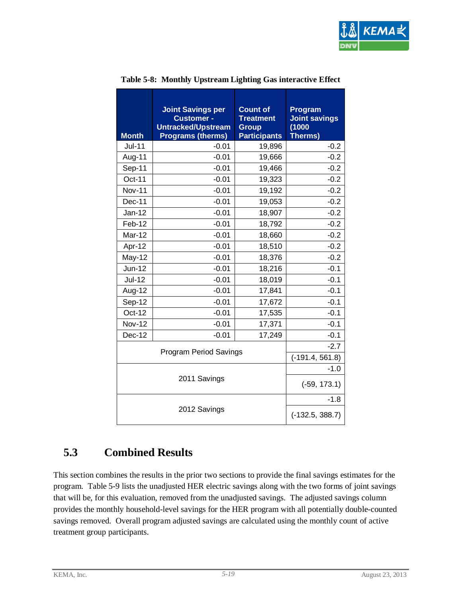

<span id="page-33-1"></span>

| <b>Month</b>  | <b>Joint Savings per</b><br><b>Customer -</b><br>Untracked/Upstream<br><b>Programs (therms)</b> | <b>Count of</b><br><b>Treatment</b><br><b>Group</b><br><b>Participants</b> | Program<br><b>Joint savings</b><br>(1000)<br><b>Therms)</b> |
|---------------|-------------------------------------------------------------------------------------------------|----------------------------------------------------------------------------|-------------------------------------------------------------|
| $Jul-11$      | $-0.01$                                                                                         | 19,896                                                                     | $-0.2$                                                      |
| Aug-11        | $-0.01$                                                                                         | 19,666                                                                     | $-0.2$                                                      |
| Sep-11        | $-0.01$                                                                                         | 19,466                                                                     | $-0.2$                                                      |
| Oct-11        | $-0.01$                                                                                         | 19,323                                                                     | $-0.2$                                                      |
| <b>Nov-11</b> | $-0.01$                                                                                         | 19,192                                                                     | $-0.2$                                                      |
| Dec-11        | $-0.01$                                                                                         | 19,053                                                                     | $-0.2$                                                      |
| $Jan-12$      | $-0.01$                                                                                         | 18,907                                                                     | $-0.2$                                                      |
| Feb-12        | $-0.01$                                                                                         | 18,792                                                                     | $-0.2$                                                      |
| <b>Mar-12</b> | $-0.01$                                                                                         | 18,660                                                                     | $-0.2$                                                      |
| Apr-12        | $-0.01$                                                                                         | 18,510                                                                     | $-0.2$                                                      |
| <b>May-12</b> | $-0.01$                                                                                         | 18,376                                                                     | $-0.2$                                                      |
| Jun-12        | $-0.01$                                                                                         | 18,216                                                                     | $-0.1$                                                      |
| <b>Jul-12</b> | $-0.01$                                                                                         | 18,019                                                                     | $-0.1$                                                      |
| Aug-12        | $-0.01$                                                                                         | 17,841                                                                     | $-0.1$                                                      |
| Sep-12        | $-0.01$                                                                                         | 17,672                                                                     | $-0.1$                                                      |
| Oct-12        | $-0.01$                                                                                         | 17,535                                                                     | $-0.1$                                                      |
| <b>Nov-12</b> | $-0.01$                                                                                         | 17,371                                                                     | $-0.1$                                                      |
| Dec-12        | $-0.01$                                                                                         | 17,249                                                                     | $-0.1$                                                      |
|               | <b>Program Period Savings</b>                                                                   |                                                                            | $-2.7$                                                      |
|               |                                                                                                 |                                                                            | $(-191.4, 561.8)$                                           |
|               | 2011 Savings                                                                                    |                                                                            | $-1.0$                                                      |
|               | $(-59, 173.1)$                                                                                  |                                                                            |                                                             |
|               |                                                                                                 |                                                                            | $-1.8$                                                      |
|               | 2012 Savings                                                                                    |                                                                            | $(-132.5, 388.7)$                                           |

#### **Table 5-8: Monthly Upstream Lighting Gas interactive Effect**

### <span id="page-33-0"></span>**5.3 Combined Results**

This section combines the results in the prior two sections to provide the final savings estimates for the program. [Table 5-9](#page-34-0) lists the unadjusted HER electric savings along with the two forms of joint savings that will be, for this evaluation, removed from the unadjusted savings. The adjusted savings column provides the monthly household-level savings for the HER program with all potentially double-counted savings removed. Overall program adjusted savings are calculated using the monthly count of active treatment group participants.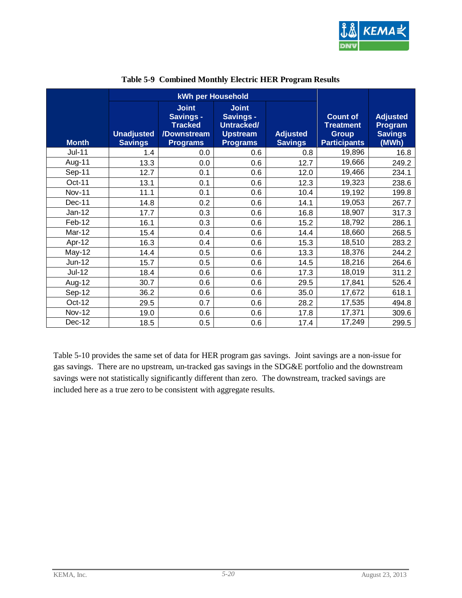

<span id="page-34-0"></span>

|               | kWh per Household                   |                                                                               |                                                                                      |                                   |                                                                            |                                                       |
|---------------|-------------------------------------|-------------------------------------------------------------------------------|--------------------------------------------------------------------------------------|-----------------------------------|----------------------------------------------------------------------------|-------------------------------------------------------|
| <b>Month</b>  | <b>Unadjusted</b><br><b>Savings</b> | <b>Joint</b><br>Savings -<br><b>Tracked</b><br>/Downstream<br><b>Programs</b> | <b>Joint</b><br><b>Savings -</b><br>Untracked/<br><b>Upstream</b><br><b>Programs</b> | <b>Adjusted</b><br><b>Savings</b> | <b>Count of</b><br><b>Treatment</b><br><b>Group</b><br><b>Participants</b> | <b>Adjusted</b><br>Program<br><b>Savings</b><br>(MWh) |
| <b>Jul-11</b> | 1.4                                 | 0.0                                                                           | 0.6                                                                                  | 0.8                               | 19,896                                                                     | 16.8                                                  |
| Aug-11        | 13.3                                | 0.0                                                                           | 0.6                                                                                  | 12.7                              | 19,666                                                                     | 249.2                                                 |
| Sep-11        | 12.7                                | 0.1                                                                           | 0.6                                                                                  | 12.0                              | 19,466                                                                     | 234.1                                                 |
| Oct-11        | 13.1                                | 0.1                                                                           | 0.6                                                                                  | 12.3                              | 19,323                                                                     | 238.6                                                 |
| <b>Nov-11</b> | 11.1                                | 0.1                                                                           | 0.6                                                                                  | 10.4                              | 19,192                                                                     | 199.8                                                 |
| Dec-11        | 14.8                                | 0.2                                                                           | 0.6                                                                                  | 14.1                              | 19,053                                                                     | 267.7                                                 |
| $Jan-12$      | 17.7                                | 0.3                                                                           | 0.6                                                                                  | 16.8                              | 18,907                                                                     | 317.3                                                 |
| Feb-12        | 16.1                                | 0.3                                                                           | 0.6                                                                                  | 15.2                              | 18,792                                                                     | 286.1                                                 |
| Mar-12        | 15.4                                | 0.4                                                                           | 0.6                                                                                  | 14.4                              | 18,660                                                                     | 268.5                                                 |
| Apr-12        | 16.3                                | 0.4                                                                           | 0.6                                                                                  | 15.3                              | 18,510                                                                     | 283.2                                                 |
| $May-12$      | 14.4                                | 0.5                                                                           | 0.6                                                                                  | 13.3                              | 18,376                                                                     | 244.2                                                 |
| Jun-12        | 15.7                                | 0.5                                                                           | 0.6                                                                                  | 14.5                              | 18,216                                                                     | 264.6                                                 |
| $Jul-12$      | 18.4                                | 0.6                                                                           | 0.6                                                                                  | 17.3                              | 18,019                                                                     | 311.2                                                 |
| Aug-12        | 30.7                                | 0.6                                                                           | 0.6                                                                                  | 29.5                              | 17,841                                                                     | 526.4                                                 |
| Sep-12        | 36.2                                | 0.6                                                                           | 0.6                                                                                  | 35.0                              | 17,672                                                                     | 618.1                                                 |
| Oct-12        | 29.5                                | 0.7                                                                           | 0.6                                                                                  | 28.2                              | 17,535                                                                     | 494.8                                                 |
| <b>Nov-12</b> | 19.0                                | 0.6                                                                           | 0.6                                                                                  | 17.8                              | 17,371                                                                     | 309.6                                                 |
| Dec-12        | 18.5                                | 0.5                                                                           | 0.6                                                                                  | 17.4                              | 17,249                                                                     | 299.5                                                 |

#### **Table 5-9 Combined Monthly Electric HER Program Results**

[Table 5-10](#page-35-0) provides the same set of data for HER program gas savings. Joint savings are a non-issue for gas savings. There are no upstream, un-tracked gas savings in the SDG&E portfolio and the downstream savings were not statistically significantly different than zero. The downstream, tracked savings are included here as a true zero to be consistent with aggregate results.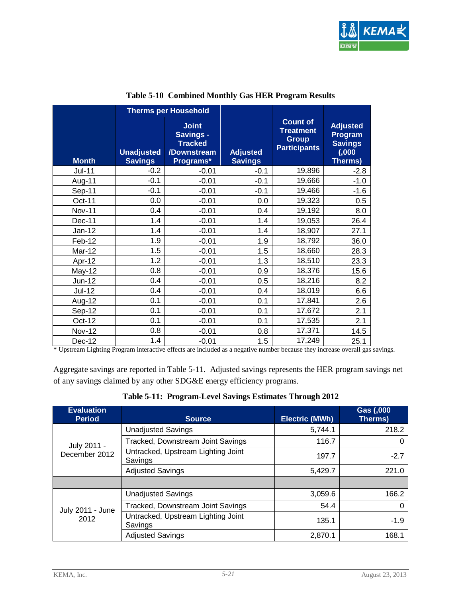

<span id="page-35-0"></span>

|               |                                     | <b>Therms per Household</b>                                             |                                   |                                                                            |                                                                           |
|---------------|-------------------------------------|-------------------------------------------------------------------------|-----------------------------------|----------------------------------------------------------------------------|---------------------------------------------------------------------------|
| <b>Month</b>  | <b>Unadjusted</b><br><b>Savings</b> | <b>Joint</b><br>Savings -<br><b>Tracked</b><br>/Downstream<br>Programs* | <b>Adjusted</b><br><b>Savings</b> | <b>Count of</b><br><b>Treatment</b><br><b>Group</b><br><b>Participants</b> | <b>Adjusted</b><br>Program<br><b>Savings</b><br>(0,000)<br><b>Therms)</b> |
| $Jul-11$      | $-0.2$                              | $-0.01$                                                                 | $-0.1$                            | 19,896                                                                     | $-2.8$                                                                    |
| Aug-11        | $-0.1$                              | $-0.01$                                                                 | $-0.1$                            | 19,666                                                                     | $-1.0$                                                                    |
| Sep-11        | $-0.1$                              | $-0.01$                                                                 | $-0.1$                            | 19,466                                                                     | $-1.6$                                                                    |
| Oct-11        | 0.0                                 | $-0.01$                                                                 | 0.0                               | 19,323                                                                     | 0.5                                                                       |
| <b>Nov-11</b> | 0.4                                 | $-0.01$                                                                 | 0.4                               | 19,192                                                                     | 8.0                                                                       |
| Dec-11        | 1.4                                 | $-0.01$                                                                 | 1.4                               | 19,053                                                                     | 26.4                                                                      |
| $Jan-12$      | 1.4                                 | $-0.01$                                                                 | 1.4                               | 18,907                                                                     | 27.1                                                                      |
| Feb-12        | 1.9                                 | $-0.01$                                                                 | 1.9                               | 18,792                                                                     | 36.0                                                                      |
| Mar-12        | 1.5                                 | $-0.01$                                                                 | 1.5                               | 18,660                                                                     | 28.3                                                                      |
| Apr-12        | 1.2                                 | $-0.01$                                                                 | 1.3                               | 18,510                                                                     | 23.3                                                                      |
| May-12        | 0.8                                 | $-0.01$                                                                 | 0.9                               | 18,376                                                                     | 15.6                                                                      |
| Jun-12        | 0.4                                 | $-0.01$                                                                 | 0.5                               | 18,216                                                                     | 8.2                                                                       |
| $Jul-12$      | 0.4                                 | $-0.01$                                                                 | 0.4                               | 18,019                                                                     | 6.6                                                                       |
| Aug-12        | 0.1                                 | $-0.01$                                                                 | 0.1                               | 17,841                                                                     | 2.6                                                                       |
| Sep-12        | 0.1                                 | $-0.01$                                                                 | 0.1                               | 17,672                                                                     | 2.1                                                                       |
| Oct-12        | 0.1                                 | $-0.01$                                                                 | 0.1                               | 17,535                                                                     | 2.1                                                                       |
| <b>Nov-12</b> | 0.8                                 | $-0.01$                                                                 | 0.8                               | 17,371                                                                     | 14.5                                                                      |
| Dec-12        | 1.4                                 | $-0.01$                                                                 | 1.5                               | 17,249                                                                     | 25.1                                                                      |

\* Upstream Lighting Program interactive effects are included as a negative number because they increase overall gas savings.

Aggregate savings are reported in [Table 5-11.](#page-35-1) Adjusted savings represents the HER program savings net of any savings claimed by any other SDG&E energy efficiency programs.

|  |  | Table 5-11: Program-Level Savings Estimates Through 2012 |
|--|--|----------------------------------------------------------|
|  |  |                                                          |

<span id="page-35-1"></span>

| <b>Evaluation</b><br><b>Period</b> | <b>Source</b>                                 | <b>Electric (MWh)</b> | Gas (,000<br>Therms) |
|------------------------------------|-----------------------------------------------|-----------------------|----------------------|
| July 2011 -<br>December 2012       | <b>Unadjusted Savings</b>                     | 5,744.1               | 218.2                |
|                                    | Tracked, Downstream Joint Savings             | 116.7                 |                      |
|                                    | Untracked, Upstream Lighting Joint<br>Savings | 197.7                 | $-2.7$               |
|                                    | <b>Adjusted Savings</b>                       | 5,429.7               | 221.0                |
|                                    |                                               |                       |                      |
| July 2011 - June<br>2012           | <b>Unadjusted Savings</b>                     | 3,059.6               | 166.2                |
|                                    | Tracked, Downstream Joint Savings             | 54.4                  | 0                    |
|                                    | Untracked, Upstream Lighting Joint<br>Savings | 135.1                 | $-1.9$               |
|                                    | <b>Adjusted Savings</b>                       | 2,870.1               | 168.1                |